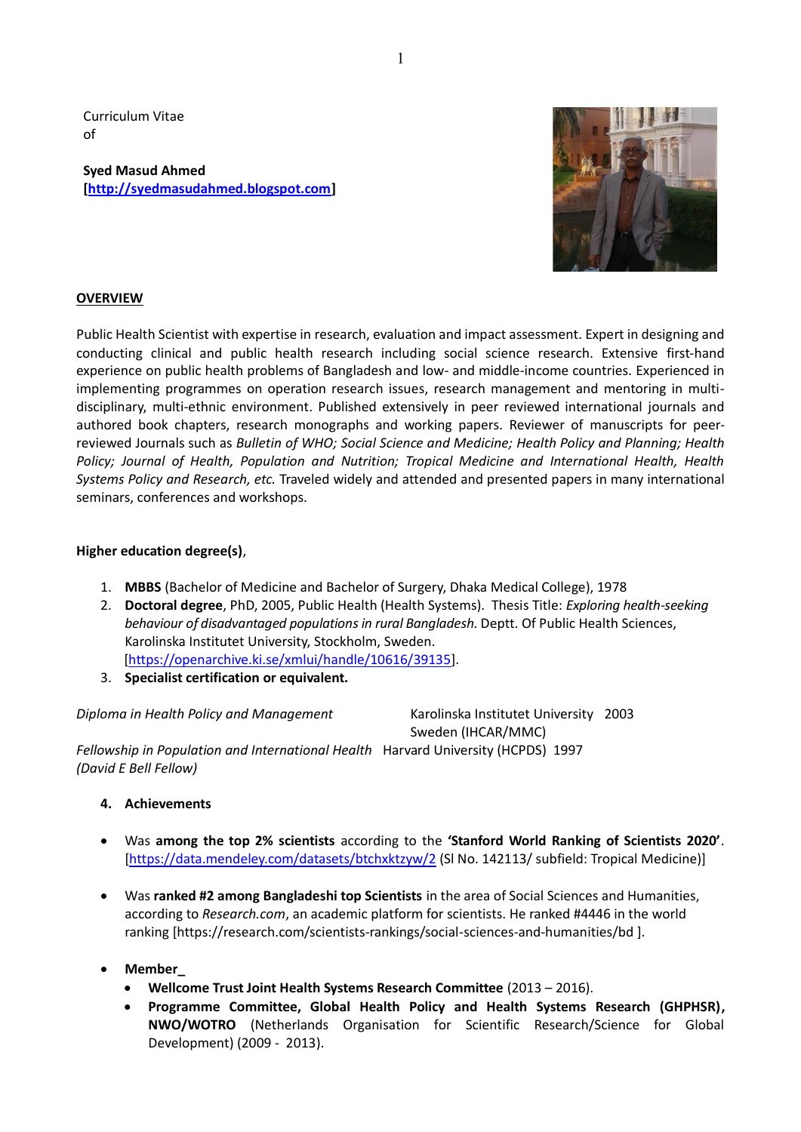Curriculum Vitae of

**Syed Masud Ahmed [\[http://syedmasudahmed.blogspot.com\]](http://syedmasudahmed.blogspot.com/)** 



# **OVERVIEW**

Public Health Scientist with expertise in research, evaluation and impact assessment. Expert in designing and conducting clinical and public health research including social science research. Extensive first-hand experience on public health problems of Bangladesh and low- and middle-income countries. Experienced in implementing programmes on operation research issues, research management and mentoring in multidisciplinary, multi-ethnic environment. Published extensively in peer reviewed international journals and authored book chapters, research monographs and working papers. Reviewer of manuscripts for peerreviewed Journals such as *Bulletin of WHO; Social Science and Medicine; Health Policy and Planning; Health Policy; Journal of Health, Population and Nutrition; Tropical Medicine and International Health, Health Systems Policy and Research, etc.* Traveled widely and attended and presented papers in many international seminars, conferences and workshops.

# **Higher education degree(s)**,

- 1. **MBBS** (Bachelor of Medicine and Bachelor of Surgery, Dhaka Medical College), 1978
- 2. **Doctoral degree**, PhD, 2005, Public Health (Health Systems). Thesis Title: *Exploring health-seeking behaviour of disadvantaged populations in rural Bangladesh.* Deptt. Of Public Health Sciences, Karolinska Institutet University, Stockholm, Sweden. [\[https://openarchive.ki.se/xmlui/handle/10616/39135\]](http://diss.kib.ki.se/2005/91-7140-435-X/).
- 3. **Specialist certification or equivalent.**

*Diploma in Health Policy and Management* Karolinska Institutet University 2003

Sweden (IHCAR/MMC)

*Fellowship in Population and International Health*Harvard University (HCPDS) 1997 *(David E Bell Fellow)*

- **4. Achievements**
- Was **among the top 2% scientists** according to the **'Stanford World Ranking of Scientists 2020'**. [\[https://data.mendeley.com/datasets/btchxktzyw/2](https://data.mendeley.com/datasets/btchxktzyw/2) (SI No. 142113/ subfield: Tropical Medicine)]
- Was **ranked #2 among Bangladeshi top Scientists** in the area of Social Sciences and Humanities, according to *Research.com*, an academic platform for scientists. He ranked #4446 in the world ranking [https://research.com/scientists-rankings/social-sciences-and-humanities/bd ].
- **Member\_**
	- **Wellcome Trust Joint Health Systems Research Committee** (2013 2016).
	- **Programme Committee, Global Health Policy and Health Systems Research (GHPHSR), NWO/WOTRO** (Netherlands Organisation for Scientific Research/Science for Global Development) (2009 - 2013).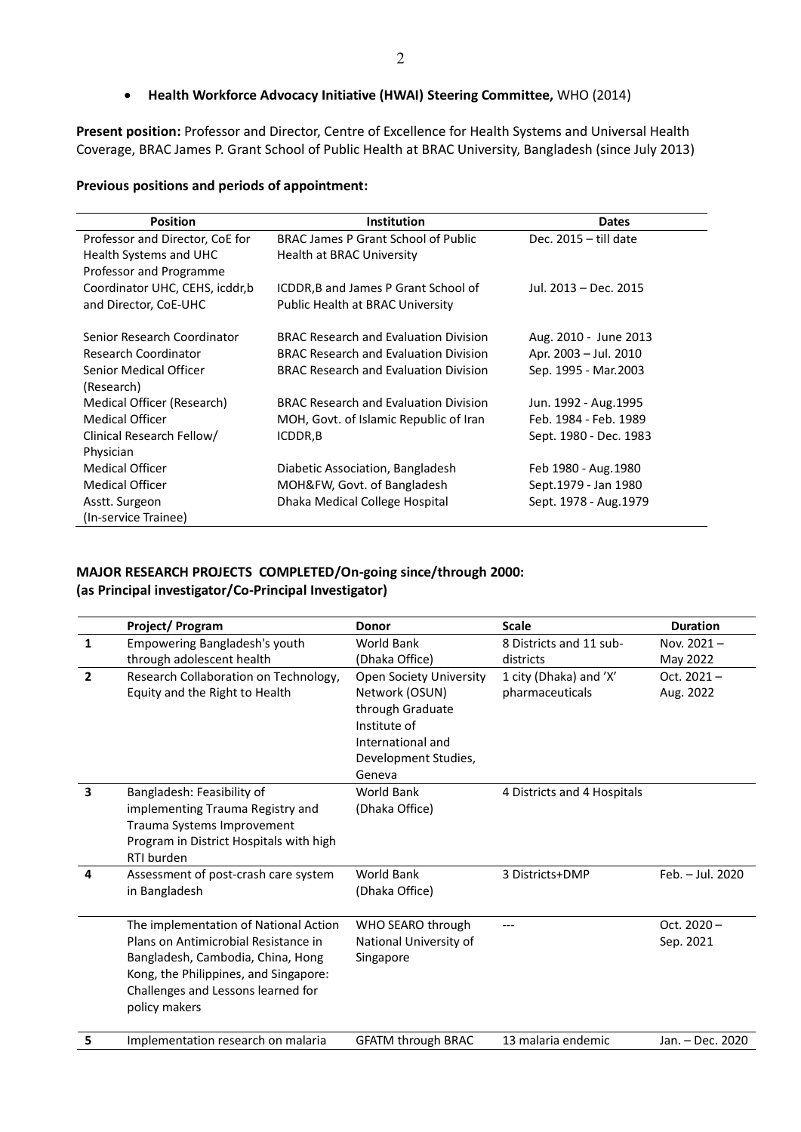## • **Health Workforce Advocacy Initiative (HWAI) Steering Committee,** WHO (2014)

**Present position:** Professor and Director, Centre of Excellence for Health Systems and Universal Health Coverage, BRAC James P. Grant School of Public Health at BRAC University, Bangladesh (since July 2013)

### **Previous positions and periods of appointment:**

| <b>Position</b>                 | <b>Institution</b>                           | <b>Dates</b>            |
|---------------------------------|----------------------------------------------|-------------------------|
| Professor and Director, CoE for | <b>BRAC James P Grant School of Public</b>   | Dec. $2015 -$ till date |
| Health Systems and UHC          | Health at BRAC University                    |                         |
| Professor and Programme         |                                              |                         |
| Coordinator UHC, CEHS, icddr,b  | ICDDR, B and James P Grant School of         | Jul. 2013 – Dec. 2015   |
| and Director, CoE-UHC           | Public Health at BRAC University             |                         |
| Senior Research Coordinator     | <b>BRAC Research and Evaluation Division</b> | Aug. 2010 - June 2013   |
| <b>Research Coordinator</b>     | <b>BRAC Research and Evaluation Division</b> | Apr. 2003 - Jul. 2010   |
| Senior Medical Officer          | <b>BRAC Research and Evaluation Division</b> | Sep. 1995 - Mar. 2003   |
| (Research)                      |                                              |                         |
| Medical Officer (Research)      | <b>BRAC Research and Evaluation Division</b> | Jun. 1992 - Aug. 1995   |
| <b>Medical Officer</b>          | MOH, Govt. of Islamic Republic of Iran       | Feb. 1984 - Feb. 1989   |
| Clinical Research Fellow/       | ICDDR, B                                     | Sept. 1980 - Dec. 1983  |
| Physician                       |                                              |                         |
| <b>Medical Officer</b>          | Diabetic Association, Bangladesh             | Feb 1980 - Aug. 1980    |
| <b>Medical Officer</b>          | MOH&FW, Govt. of Bangladesh                  | Sept.1979 - Jan 1980    |
| Asstt. Surgeon                  | Dhaka Medical College Hospital               | Sept. 1978 - Aug. 1979  |
| (In-service Trainee)            |                                              |                         |

# **MAJOR RESEARCH PROJECTS COMPLETED/On-going since/through 2000: (as Principal investigator/Co-Principal Investigator)**

|                         | Project/Program                                                                                                                                                                                                    | <b>Donor</b>                                                                                                                                | <b>Scale</b>                              | <b>Duration</b>            |
|-------------------------|--------------------------------------------------------------------------------------------------------------------------------------------------------------------------------------------------------------------|---------------------------------------------------------------------------------------------------------------------------------------------|-------------------------------------------|----------------------------|
| $\mathbf{1}$            | Empowering Bangladesh's youth<br>through adolescent health                                                                                                                                                         | <b>World Bank</b><br>(Dhaka Office)                                                                                                         | 8 Districts and 11 sub-<br>districts      | Nov. 2021-<br>May 2022     |
| $\overline{2}$          | Research Collaboration on Technology,<br>Equity and the Right to Health                                                                                                                                            | <b>Open Society University</b><br>Network (OSUN)<br>through Graduate<br>Institute of<br>International and<br>Development Studies,<br>Geneva | 1 city (Dhaka) and 'X'<br>pharmaceuticals | Oct. $2021 -$<br>Aug. 2022 |
| $\overline{\mathbf{3}}$ | Bangladesh: Feasibility of<br>implementing Trauma Registry and<br>Trauma Systems Improvement<br>Program in District Hospitals with high<br>RTI burden                                                              | World Bank<br>(Dhaka Office)                                                                                                                | 4 Districts and 4 Hospitals               |                            |
| 4                       | Assessment of post-crash care system<br>in Bangladesh                                                                                                                                                              | <b>World Bank</b><br>(Dhaka Office)                                                                                                         | 3 Districts+DMP                           | Feb. - Jul. 2020           |
|                         | The implementation of National Action<br>Plans on Antimicrobial Resistance in<br>Bangladesh, Cambodia, China, Hong<br>Kong, the Philippines, and Singapore:<br>Challenges and Lessons learned for<br>policy makers | WHO SEARO through<br>National University of<br>Singapore                                                                                    |                                           | Oct. $2020 -$<br>Sep. 2021 |
| 5.                      | Implementation research on malaria                                                                                                                                                                                 | <b>GFATM through BRAC</b>                                                                                                                   | 13 malaria endemic                        | Jan. - Dec. 2020           |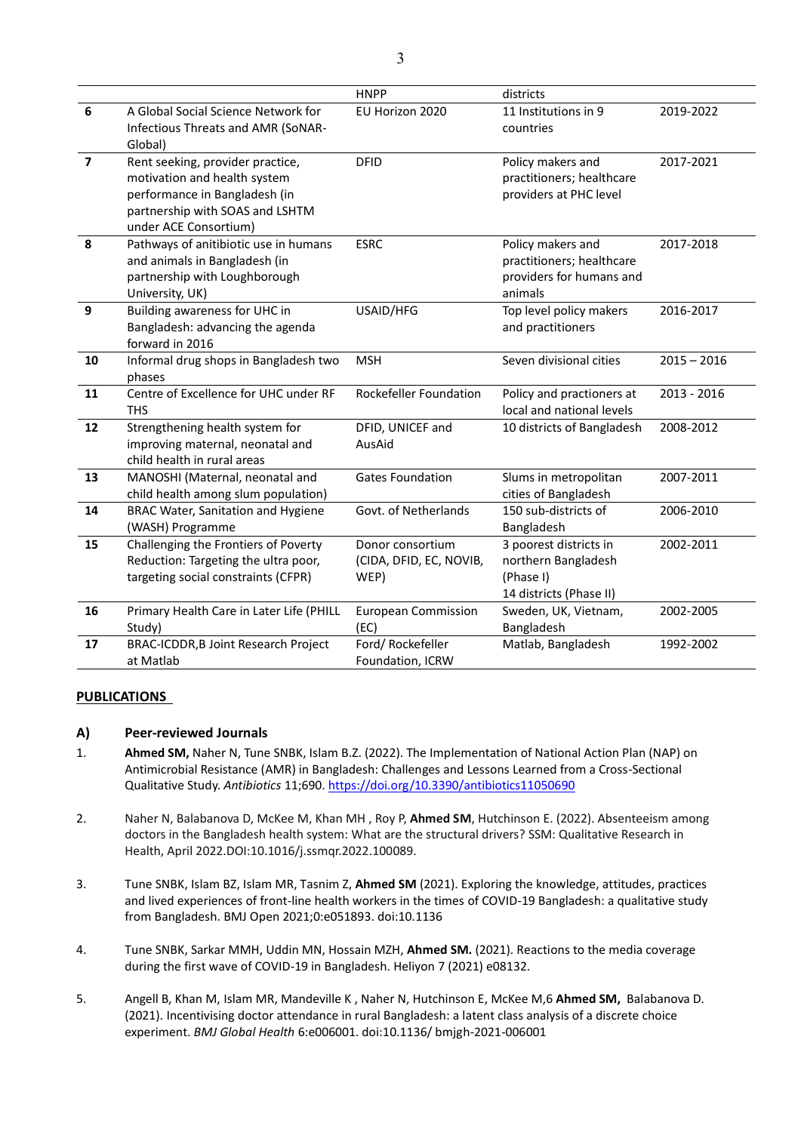|                |                                                                                                                                                               | <b>HNPP</b>                                         | districts                                                                             |               |
|----------------|---------------------------------------------------------------------------------------------------------------------------------------------------------------|-----------------------------------------------------|---------------------------------------------------------------------------------------|---------------|
| 6              | A Global Social Science Network for<br>Infectious Threats and AMR (SoNAR-<br>Global)                                                                          | EU Horizon 2020                                     | 11 Institutions in 9<br>countries                                                     | 2019-2022     |
| $\overline{7}$ | Rent seeking, provider practice,<br>motivation and health system<br>performance in Bangladesh (in<br>partnership with SOAS and LSHTM<br>under ACE Consortium) | <b>DFID</b>                                         | Policy makers and<br>practitioners; healthcare<br>providers at PHC level              | 2017-2021     |
| 8              | Pathways of anitibiotic use in humans<br>and animals in Bangladesh (in<br>partnership with Loughborough<br>University, UK)                                    | <b>ESRC</b>                                         | Policy makers and<br>practitioners; healthcare<br>providers for humans and<br>animals | 2017-2018     |
| 9              | Building awareness for UHC in<br>Bangladesh: advancing the agenda<br>forward in 2016                                                                          | USAID/HFG                                           | Top level policy makers<br>and practitioners                                          | 2016-2017     |
| 10             | Informal drug shops in Bangladesh two<br>phases                                                                                                               | <b>MSH</b>                                          | Seven divisional cities                                                               | $2015 - 2016$ |
| 11             | Centre of Excellence for UHC under RF<br><b>THS</b>                                                                                                           | <b>Rockefeller Foundation</b>                       | Policy and practioners at<br>local and national levels                                | 2013 - 2016   |
| 12             | Strengthening health system for<br>improving maternal, neonatal and<br>child health in rural areas                                                            | DFID, UNICEF and<br>AusAid                          | 10 districts of Bangladesh                                                            | 2008-2012     |
| 13             | MANOSHI (Maternal, neonatal and<br>child health among slum population)                                                                                        | <b>Gates Foundation</b>                             | Slums in metropolitan<br>cities of Bangladesh                                         | 2007-2011     |
| 14             | <b>BRAC Water, Sanitation and Hygiene</b><br>(WASH) Programme                                                                                                 | Govt. of Netherlands                                | 150 sub-districts of<br>Bangladesh                                                    | 2006-2010     |
| 15             | Challenging the Frontiers of Poverty<br>Reduction: Targeting the ultra poor,<br>targeting social constraints (CFPR)                                           | Donor consortium<br>(CIDA, DFID, EC, NOVIB,<br>WEP) | 3 poorest districts in<br>northern Bangladesh<br>(Phase I)<br>14 districts (Phase II) | 2002-2011     |
| 16             | Primary Health Care in Later Life (PHILL<br>Study)                                                                                                            | European Commission<br>(EC)                         | Sweden, UK, Vietnam,<br>Bangladesh                                                    | 2002-2005     |
| 17             | BRAC-ICDDR, B Joint Research Project<br>at Matlab                                                                                                             | Ford/Rockefeller<br>Foundation, ICRW                | Matlab, Bangladesh                                                                    | 1992-2002     |

### **PUBLICATIONS**

## **A) Peer-reviewed Journals**

- 1. **Ahmed SM,** Naher N, Tune SNBK, Islam B.Z. (2022). The Implementation of National Action Plan (NAP) on Antimicrobial Resistance (AMR) in Bangladesh: Challenges and Lessons Learned from a Cross-Sectional Qualitative Study. *Antibiotics* 11;690.<https://doi.org/10.3390/antibiotics11050690>
- 2. Naher N, Balabanova D, McKee M, Khan MH , Roy P, **Ahmed SM**, Hutchinson E. (2022). Absenteeism among doctors in the Bangladesh health system: What are the structural drivers? SSM: Qualitative Research in Health, April 2022.DOI:10.1016/j.ssmqr.2022.100089.
- 3. Tune SNBK, Islam BZ, Islam MR, Tasnim Z, **Ahmed SM** (2021). Exploring the knowledge, attitudes, practices and lived experiences of front-line health workers in the times of COVID-19 Bangladesh: a qualitative study from Bangladesh. BMJ Open 2021;0:e051893. doi:10.1136
- 4. Tune SNBK, Sarkar MMH, Uddin MN, Hossain MZH, **Ahmed SM.** (2021). Reactions to the media coverage during the first wave of COVID-19 in Bangladesh. Heliyon 7 (2021) e08132.
- 5. Angell B, Khan M, Islam MR, Mandeville K , Naher N, Hutchinson E, McKee M,6 **Ahmed SM,** Balabanova D. (2021). Incentivising doctor attendance in rural Bangladesh: a latent class analysis of a discrete choice experiment. *BMJ Global Health* 6:e006001. doi:10.1136/ bmjgh-2021-006001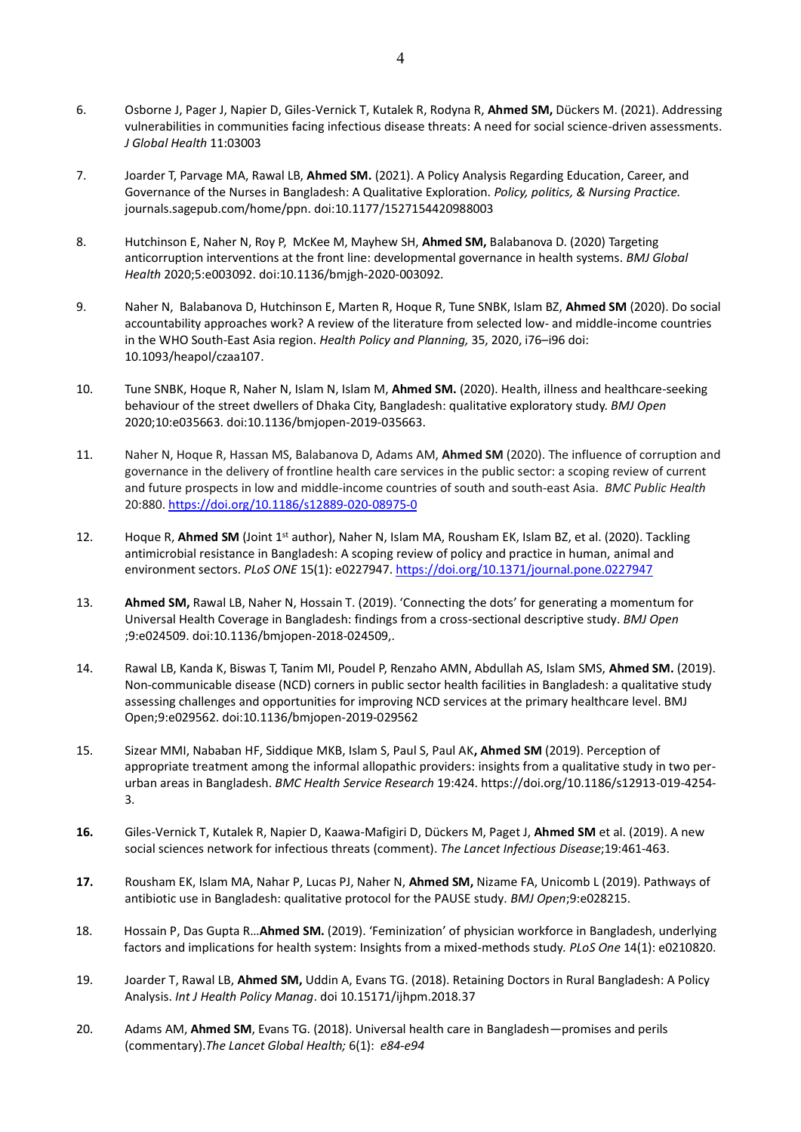- 6. Osborne J, Pager J, Napier D, Giles-Vernick T, Kutalek R, Rodyna R, **Ahmed SM,** Dückers M. (2021). Addressing vulnerabilities in communities facing infectious disease threats: A need for social science-driven assessments. *J Global Health* 11:03003
- 7. Joarder T, Parvage MA, Rawal LB, **Ahmed SM.** (2021). A Policy Analysis Regarding Education, Career, and Governance of the Nurses in Bangladesh: A Qualitative Exploration. *Policy, politics, & Nursing Practice.* journals.sagepub.com/home/ppn. doi:10.1177/1527154420988003
- 8. Hutchinson E, Naher N, Roy P, McKee M, Mayhew SH, **Ahmed SM,** Balabanova D. (2020) Targeting anticorruption interventions at the front line: developmental governance in health systems. *BMJ Global Health* 2020;5:e003092. doi:10.1136/bmjgh-2020-003092.
- 9. Naher N, Balabanova D, Hutchinson E, Marten R, Hoque R, Tune SNBK, Islam BZ, **Ahmed SM** (2020). Do social accountability approaches work? A review of the literature from selected low- and middle-income countries in the WHO South-East Asia region. *Health Policy and Planning,* 35, 2020, i76–i96 doi: 10.1093/heapol/czaa107.
- 10. Tune SNBK, Hoque R, Naher N, Islam N, Islam M, **Ahmed SM.** (2020). Health, illness and healthcare-seeking behaviour of the street dwellers of Dhaka City, Bangladesh: qualitative exploratory study. *BMJ Open*  2020;10:e035663. doi:10.1136/bmjopen-2019-035663.
- 11. Naher N, Hoque R, Hassan MS, Balabanova D, Adams AM, **Ahmed SM** (2020). The influence of corruption and governance in the delivery of frontline health care services in the public sector: a scoping review of current and future prospects in low and middle-income countries of south and south-east Asia. *BMC Public Health* 20:880. <https://doi.org/10.1186/s12889-020-08975-0>
- 12. Hoque R, Ahmed SM (Joint 1<sup>st</sup> author), Naher N, Islam MA, Rousham EK, Islam BZ, et al. (2020). Tackling antimicrobial resistance in Bangladesh: A scoping review of policy and practice in human, animal and environment sectors. *PLoS ONE* 15(1): e0227947[. https://doi.org/10.1371/journal.pone.0227947](https://doi.org/10.1371/journal.pone.0227947)
- 13. **Ahmed SM,** Rawal LB, Naher N, Hossain T. (2019). 'Connecting the dots' for generating a momentum for Universal Health Coverage in Bangladesh: findings from a cross-sectional descriptive study. *BMJ Open* ;9:e024509. doi:10.1136/bmjopen-2018-024509,.
- 14. Rawal LB, Kanda K, Biswas T, Tanim MI, Poudel P, Renzaho AMN, Abdullah AS, Islam SMS, **Ahmed SM.** (2019). Non-communicable disease (NCD) corners in public sector health facilities in Bangladesh: a qualitative study assessing challenges and opportunities for improving NCD services at the primary healthcare level. BMJ Open;9:e029562. doi:10.1136/bmjopen-2019-029562
- 15. Sizear MMI, Nababan HF, Siddique MKB, Islam S, Paul S, Paul AK**, Ahmed SM** (2019). Perception of appropriate treatment among the informal allopathic providers: insights from a qualitative study in two perurban areas in Bangladesh. *BMC Health Service Research* 19:424. https://doi.org/10.1186/s12913-019-4254- 3.
- **16.** Giles-Vernick T, Kutalek R, Napier D, Kaawa-Mafigiri D, Dückers M, Paget J, **Ahmed SM** et al. (2019). A new social sciences network for infectious threats (comment). *The Lancet Infectious Disease*;19:461-463.
- **17.** Rousham EK, Islam MA, Nahar P, Lucas PJ, Naher N, **Ahmed SM,** Nizame FA, Unicomb L (2019). Pathways of antibiotic use in Bangladesh: qualitative protocol for the PAUSE study. *BMJ Open*;9:e028215.
- 18. Hossain P, Das Gupta R…**Ahmed SM.** (2019). 'Feminization' of physician workforce in Bangladesh, underlying factors and implications for health system: Insights from a mixed-methods study*. PLoS One* 14(1): e0210820.
- 19. Joarder T, Rawal LB, **Ahmed SM,** Uddin A, Evans TG. (2018). Retaining Doctors in Rural Bangladesh: A Policy Analysis. *Int J Health Policy Manag*. doi 10.15171/ijhpm.2018.37
- 20. Adams AM, **Ahmed SM**, Evans TG. (2018). Universal health care in Bangladesh—promises and perils (commentary).*The Lancet Global Health;* 6(1): *e84-e94*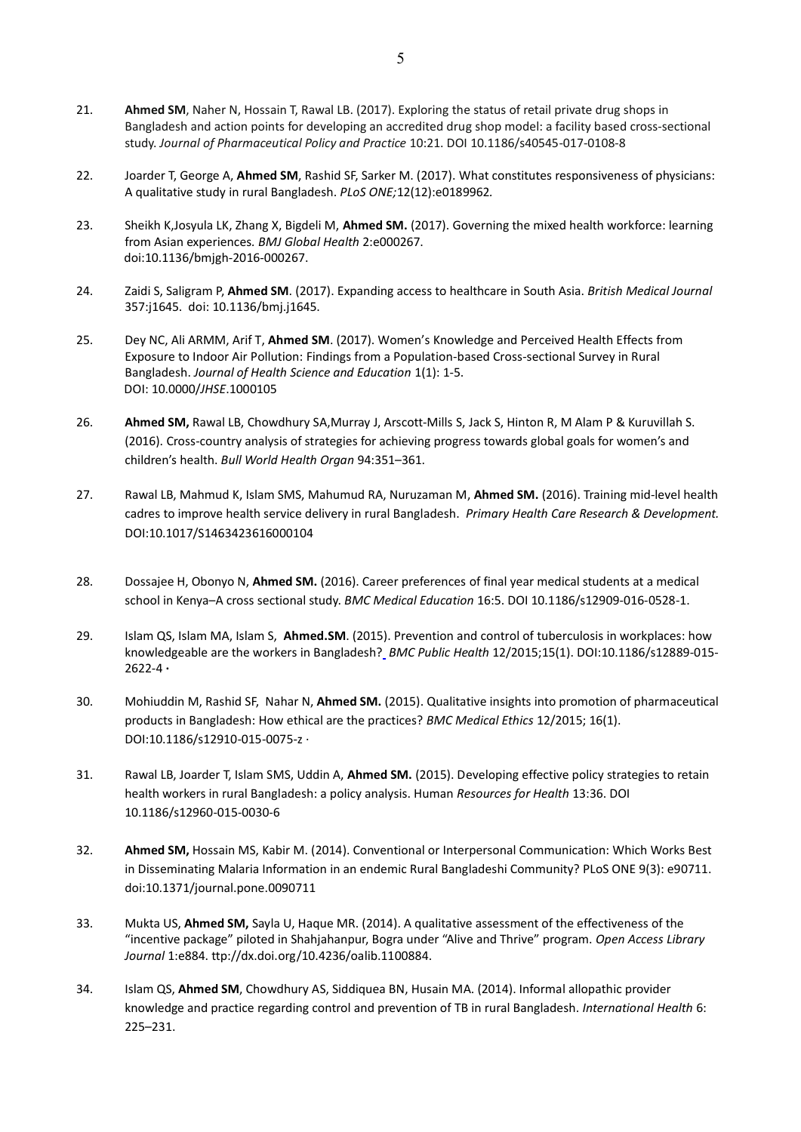- 21. **Ahmed SM**, Naher N, Hossain T, Rawal LB. (2017). Exploring the status of retail private drug shops in Bangladesh and action points for developing an accredited drug shop model: a facility based cross-sectional study. *Journal of Pharmaceutical Policy and Practice* 10:21. DOI 10.1186/s40545-017-0108-8
- 22. Joarder T, George A, **Ahmed SM**, Rashid SF, Sarker M. (2017). What constitutes responsiveness of physicians: A qualitative study in rural Bangladesh. *PLoS ONE;*12(12):e0189962*.*
- 23. Sheikh K,Josyula LK, Zhang X, Bigdeli M, **Ahmed SM.** (2017). Governing the mixed health workforce: learning from Asian experiences*. BMJ Global Health* 2:e000267. doi:10.1136/bmjgh-2016-000267.
- 24. Zaidi S, Saligram P, **Ahmed SM**. (2017). Expanding access to healthcare in South Asia. *British Medical Journal*  357:j1645. doi: 10.1136/bmj.j1645.
- 25. Dey NC, Ali ARMM, Arif T, **Ahmed SM**. (2017). Women's Knowledge and Perceived Health Effects from Exposure to Indoor Air Pollution: Findings from a Population-based Cross-sectional Survey in Rural Bangladesh. *Journal of Health Science and Education* 1(1): 1-5. DOI: 10.0000/*JHSE*.1000105
- 26. **Ahmed SM,** Rawal LB, Chowdhury SA,Murray J, Arscott-Mills S, Jack S, Hinton R, M Alam P & Kuruvillah S. (2016). Cross-country analysis of strategies for achieving progress towards global goals for women's and children's health. *Bull World Health Organ* 94:351–361.
- 27. Rawal LB, Mahmud K, Islam SMS, Mahumud RA, Nuruzaman M, **Ahmed SM.** (2016). Training mid-level health cadres to improve health service delivery in rural Bangladesh. *Primary Health Care Research & Development.* DOI:10.1017/S1463423616000104
- 28. Dossajee H, Obonyo N, **Ahmed SM.** (2016). Career preferences of final year medical students at a medical school in Kenya–A cross sectional study. *BMC Medical Education* 16:5. DOI 10.1186/s12909-016-0528-1.
- 29. Islam QS, Islam MA, Islam S, **Ahmed.SM**. (2015). [Prevention and control of tuberculosis in workplaces: how](https://www.researchgate.net/publication/288020182_Prevention_and_control_of_tuberculosis_in_workplaces_how_knowledgeable_are_the_workers_in_Bangladesh?ev=prf_pub)  [knowledgeable are the workers in Bangladesh?](https://www.researchgate.net/publication/288020182_Prevention_and_control_of_tuberculosis_in_workplaces_how_knowledgeable_are_the_workers_in_Bangladesh?ev=prf_pub) *BMC Public Health* 12/2015;15(1). DOI:10.1186/s12889-015- 2622-4 **·**
- 30. Mohiuddin M, Rashid SF, Nahar N, **Ahmed SM.** (2015)[. Qualitative insights into promotion of pharmaceutical](https://www.researchgate.net/publication/285546071_Qualitative_insights_into_promotion_of_pharmaceutical_products_in_Bangladesh_How_ethical_are_the_practices?ev=prf_pub)  [products in Bangladesh: How ethical are the practices?](https://www.researchgate.net/publication/285546071_Qualitative_insights_into_promotion_of_pharmaceutical_products_in_Bangladesh_How_ethical_are_the_practices?ev=prf_pub) *BMC Medical Ethics* 12/2015; 16(1). DOI:10.1186/s12910-015-0075-z ·
- 31. Rawal LB, Joarder T, Islam SMS, Uddin A, **Ahmed SM.** (2015). Developing effective policy strategies to retain health workers in rural Bangladesh: a policy analysis. Human *Resources for Health* 13:36. DOI 10.1186/s12960-015-0030-6
- 32. **Ahmed SM,** Hossain MS, Kabir M. (2014). Conventional or Interpersonal Communication: Which Works Best in Disseminating Malaria Information in an endemic Rural Bangladeshi Community? PLoS ONE 9(3): e90711. doi:10.1371/journal.pone.0090711
- 33. Mukta US, **Ahmed SM,** Sayla U, Haque MR. (2014). A qualitative assessment of the effectiveness of the "incentive package" piloted in Shahjahanpur, Bogra under "Alive and Thrive" program. *Open Access Library Journal* 1:e884. ttp://dx.doi.org/10.4236/oalib.1100884.
- 34. Islam QS, **Ahmed SM**, Chowdhury AS, Siddiquea BN, Husain MA. (2014). Informal allopathic provider knowledge and practice regarding control and prevention of TB in rural Bangladesh. *International Health* 6: 225–231.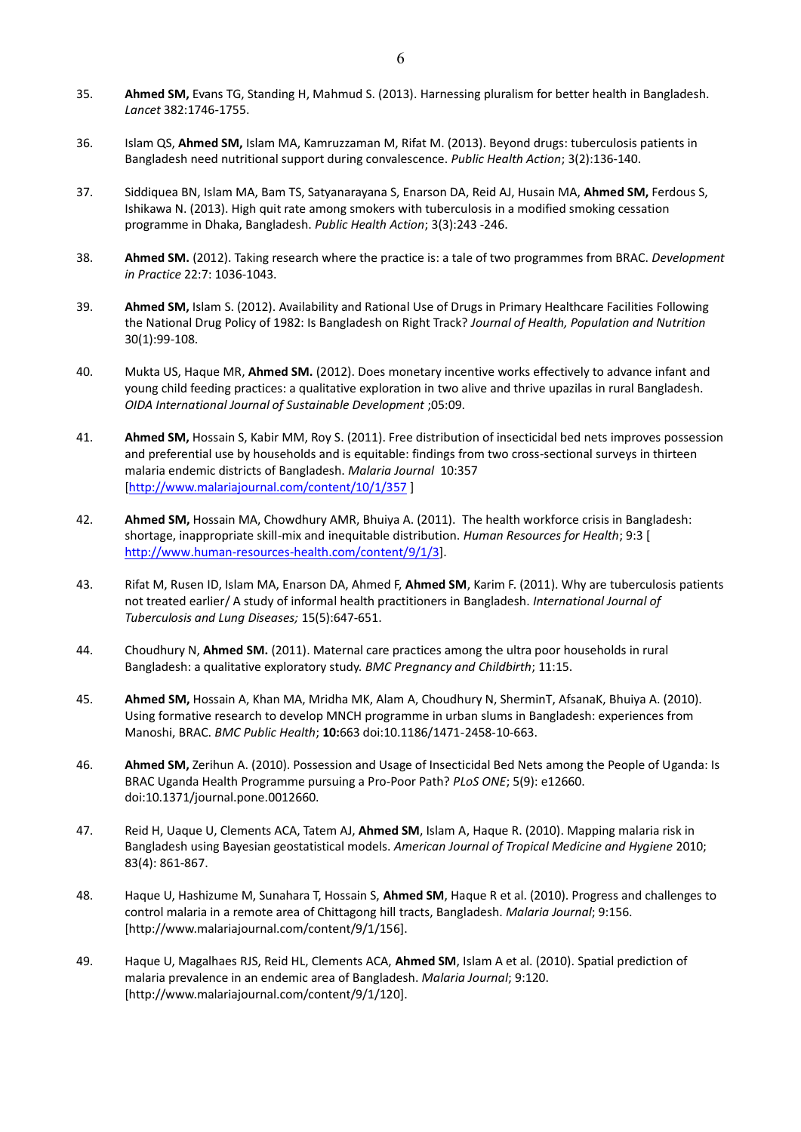- 35. **Ahmed SM,** Evans TG, Standing H, Mahmud S. (2013). Harnessing pluralism for better health in Bangladesh. *Lancet* 382:1746-1755.
- 36. Islam QS, **Ahmed SM,** Islam MA, Kamruzzaman M, Rifat M. (2013). Beyond drugs: tuberculosis patients in Bangladesh need nutritional support during convalescence. *Public Health Action*; 3(2):136-140.
- 37. Siddiquea BN, Islam MA, Bam TS, Satyanarayana S, Enarson DA, Reid AJ, Husain MA, **Ahmed SM,** Ferdous S, Ishikawa N. (2013). High quit rate among smokers with tuberculosis in a modified smoking cessation programme in Dhaka, Bangladesh. *Public Health Action*; 3(3):243 -246.
- 38. **Ahmed SM.** (2012). Taking research where the practice is: a tale of two programmes from BRAC. *Development in Practice* 22:7: 1036-1043.
- 39. **Ahmed SM,** Islam S. (2012). Availability and Rational Use of Drugs in Primary Healthcare Facilities Following the National Drug Policy of 1982: Is Bangladesh on Right Track? *Journal of Health, Population and Nutrition* 30(1):99-108.
- 40. Mukta US, Haque MR, **Ahmed SM.** (2012). Does monetary incentive works effectively to advance infant and young child feeding practices: a qualitative exploration in two alive and thrive upazilas in rural Bangladesh. *OIDA International Journal of Sustainable Development* ;05:09.
- 41. **Ahmed SM,** Hossain S, Kabir MM, Roy S. (2011). Free distribution of insecticidal bed nets improves possession and preferential use by households and is equitable: findings from two cross-sectional surveys in thirteen malaria endemic districts of Bangladesh. *Malaria Journal* 10:357 [\[http://www.malariajournal.com/content/10/1/357](http://www.malariajournal.com/content/10/1/357)]
- 42. **Ahmed SM,** Hossain MA, Chowdhury AMR, Bhuiya A. (2011). The health workforce crisis in Bangladesh: shortage, inappropriate skill-mix and inequitable distribution. *Human Resources for Health*; 9:3 [ [http://www.human-resources-health.com/content/9/1/3\]](http://www.human-resources-health.com/content/9/1/3).
- 43. Rifat M, Rusen ID, Islam MA, Enarson DA, Ahmed F, **Ahmed SM**, Karim F. (2011). Why are tuberculosis patients not treated earlier/ A study of informal health practitioners in Bangladesh. *International Journal of Tuberculosis and Lung Diseases;* 15(5):647-651.
- 44. Choudhury N, **Ahmed SM.** (2011). Maternal care practices among the ultra poor households in rural Bangladesh: a qualitative exploratory study. *BMC Pregnancy and Childbirth*; 11:15.
- 45. **Ahmed SM,** Hossain A, Khan MA, Mridha MK, Alam A, Choudhury N, SherminT, AfsanaK, Bhuiya A. (2010). Using formative research to develop MNCH programme in urban slums in Bangladesh: experiences from Manoshi, BRAC. *BMC Public Health*; **10:**663 doi:10.1186/1471-2458-10-663.
- 46. **Ahmed SM,** Zerihun A. (2010). Possession and Usage of Insecticidal Bed Nets among the People of Uganda: Is BRAC Uganda Health Programme pursuing a Pro-Poor Path? *PLoS ONE*; 5(9): e12660. doi:10.1371/journal.pone.0012660.
- 47. Reid H, Uaque U, Clements ACA, Tatem AJ, **Ahmed SM**, Islam A, Haque R. (2010). Mapping malaria risk in Bangladesh using Bayesian geostatistical models. *American Journal of Tropical Medicine and Hygiene* 2010; 83(4): 861-867.
- 48. Haque U, Hashizume M, Sunahara T, Hossain S, **Ahmed SM**, Haque R et al. (2010). Progress and challenges to control malaria in a remote area of Chittagong hill tracts, Bangladesh. *Malaria Journal*; 9:156. [http://www.malariajournal.com/content/9/1/156].
- 49. Haque U, Magalhaes RJS, Reid HL, Clements ACA, **Ahmed SM**, Islam A et al. (2010). Spatial prediction of malaria prevalence in an endemic area of Bangladesh. *Malaria Journal*; 9:120. [http://www.malariajournal.com/content/9/1/120].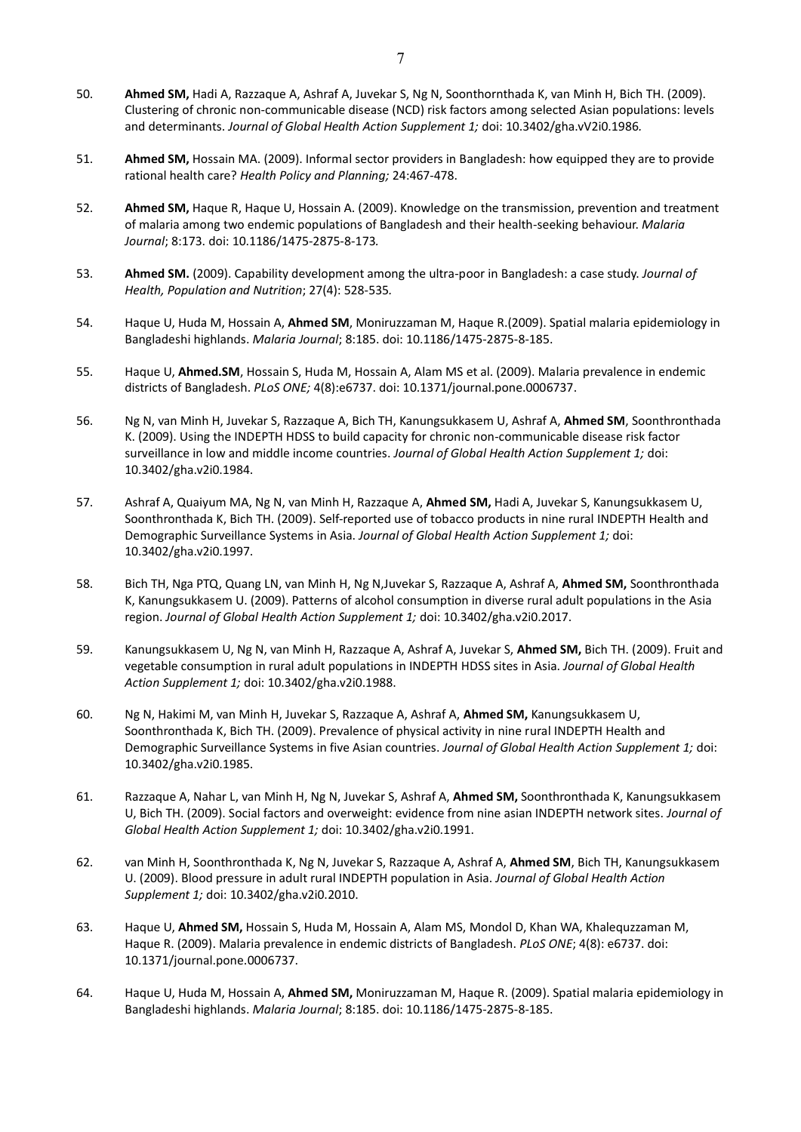- 50. **Ahmed SM,** Hadi A, Razzaque A, Ashraf A, Juvekar S, Ng N, Soonthornthada K, van Minh H, Bich TH. (2009). Clustering of chronic non-communicable disease (NCD) risk factors among selected Asian populations: levels and determinants. *Journal of Global Health Action Supplement 1;* doi: 10.3402/gha.vV2i0.1986*.*
- 51. **Ahmed SM,** Hossain MA. (2009). Informal sector providers in Bangladesh: how equipped they are to provide rational health care? *Health Policy and Planning;* 24:467-478.
- 52. **Ahmed SM,** Haque R, Haque U, Hossain A. (2009). Knowledge on the transmission, prevention and treatment of malaria among two endemic populations of Bangladesh and their health-seeking behaviour. *Malaria Journal*; 8:173. doi: 10.1186/1475-2875-8-173*.*
- 53. **Ahmed SM.** (2009). Capability development among the ultra-poor in Bangladesh: a case study. *Journal of Health, Population and Nutrition*; 27(4): 528-535*.*
- 54. Haque U, Huda M, Hossain A, **Ahmed SM**, Moniruzzaman M, Haque R.(2009). Spatial malaria epidemiology in Bangladeshi highlands. *Malaria Journal*; 8:185. doi: 10.1186/1475-2875-8-185.
- 55. Haque U, **Ahmed.SM**, Hossain S, Huda M, Hossain A, Alam MS et al. (2009). Malaria prevalence in endemic districts of Bangladesh. *PLoS ONE;* 4(8):e6737. doi: 10.1371/journal.pone.0006737.
- 56. Ng N, van Minh H, Juvekar S, Razzaque A, Bich TH, Kanungsukkasem U, Ashraf A, **Ahmed SM**, Soonthronthada K. (2009). Using the INDEPTH HDSS to build capacity for chronic non-communicable disease risk factor surveillance in low and middle income countries. *Journal of Global Health Action Supplement 1;* doi: 10.3402/gha.v2i0.1984.
- 57. Ashraf A, Quaiyum MA, Ng N, van Minh H, Razzaque A, **Ahmed SM,** Hadi A, Juvekar S, Kanungsukkasem U, Soonthronthada K, Bich TH. (2009). Self-reported use of tobacco products in nine rural INDEPTH Health and Demographic Surveillance Systems in Asia. *Journal of Global Health Action Supplement 1;* doi: 10.3402/gha.v2i0.1997.
- 58. Bich TH, Nga PTQ, Quang LN, van Minh H, Ng N,Juvekar S, Razzaque A, Ashraf A, **Ahmed SM,** Soonthronthada K, Kanungsukkasem U. (2009). Patterns of alcohol consumption in diverse rural adult populations in the Asia region. *Journal of Global Health Action Supplement 1;* doi: 10.3402/gha.v2i0.2017.
- 59. Kanungsukkasem U, Ng N, van Minh H, Razzaque A, Ashraf A, Juvekar S, **Ahmed SM,** Bich TH. (2009). Fruit and vegetable consumption in rural adult populations in INDEPTH HDSS sites in Asia. *Journal of Global Health Action Supplement 1;* doi: 10.3402/gha.v2i0.1988.
- 60. Ng N, Hakimi M, van Minh H, Juvekar S, Razzaque A, Ashraf A, **Ahmed SM,** Kanungsukkasem U, Soonthronthada K, Bich TH. (2009). Prevalence of physical activity in nine rural INDEPTH Health and Demographic Surveillance Systems in five Asian countries. *Journal of Global Health Action Supplement 1;* doi: 10.3402/gha.v2i0.1985.
- 61. Razzaque A, Nahar L, van Minh H, Ng N, Juvekar S, Ashraf A, **Ahmed SM,** Soonthronthada K, Kanungsukkasem U, Bich TH. (2009). Social factors and overweight: evidence from nine asian INDEPTH network sites. *Journal of Global Health Action Supplement 1;* doi: 10.3402/gha.v2i0.1991.
- 62. van Minh H, Soonthronthada K, Ng N, Juvekar S, Razzaque A, Ashraf A, **Ahmed SM**, Bich TH, Kanungsukkasem U. (2009). Blood pressure in adult rural INDEPTH population in Asia. *Journal of Global Health Action Supplement 1;* doi: 10.3402/gha.v2i0.2010.
- 63. Haque U, **Ahmed SM,** Hossain S, Huda M, Hossain A, Alam MS, Mondol D, Khan WA, Khalequzzaman M, Haque R. (2009). Malaria prevalence in endemic districts of Bangladesh. *PLoS ONE*; 4(8): e6737. doi: 10.1371/journal.pone.0006737.
- 64. Haque U, Huda M, Hossain A, **Ahmed SM,** Moniruzzaman M, Haque R. (2009). Spatial malaria epidemiology in Bangladeshi highlands. *Malaria Journal*; 8:185. doi: 10.1186/1475-2875-8-185.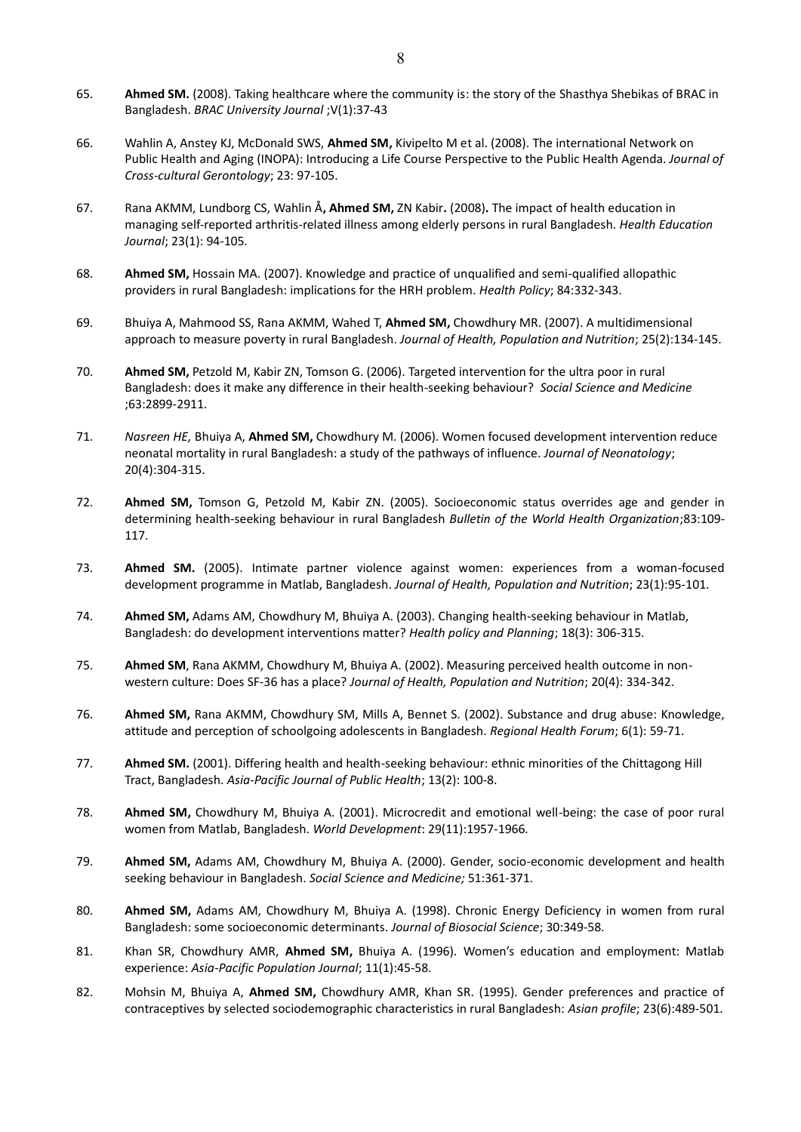- 65. **Ahmed SM.** (2008). Taking healthcare where the community is: the story of the Shasthya Shebikas of BRAC in Bangladesh. *BRAC University Journal* ;V(1):37-43
- 66. Wahlin A, Anstey KJ, McDonald SWS, **Ahmed SM,** Kivipelto M et al. (2008). The international Network on Public Health and Aging (INOPA): Introducing a Life Course Perspective to the Public Health Agenda. *Journal of Cross-cultural Gerontology*; 23: 97-105.
- 67. Rana AKMM, Lundborg CS, Wahlin Å**, Ahmed SM,** ZN Kabir**.** (2008)**.** The impact of health education in managing self-reported arthritis-related illness among elderly persons in rural Bangladesh. *Health Education Journal*; 23(1): 94-105.
- 68. **Ahmed SM,** Hossain MA. (2007). Knowledge and practice of unqualified and semi-qualified allopathic providers in rural Bangladesh: implications for the HRH problem. *Health Policy*; 84:332-343.
- 69. Bhuiya A, Mahmood SS, Rana AKMM, Wahed T, **Ahmed SM,** Chowdhury MR. (2007). A multidimensional approach to measure poverty in rural Bangladesh. *Journal of Health, Population and Nutrition*; 25(2):134-145.
- 70. **Ahmed SM,** Petzold M, Kabir ZN, Tomson G. (2006). Targeted intervention for the ultra poor in rural Bangladesh: does it make any difference in their health-seeking behaviour? *Social Science and Medicine*  ;63:2899-2911.
- 71. *Nasreen HE,* Bhuiya A, **Ahmed SM,** Chowdhury M. (2006). Women focused development intervention reduce neonatal mortality in rural Bangladesh: a study of the pathways of influence. *Journal of Neonatology*; 20(4):304-315.
- 72. **Ahmed SM,** Tomson G, Petzold M, Kabir ZN. (2005). Socioeconomic status overrides age and gender in determining health-seeking behaviour in rural Bangladesh *Bulletin of the World Health Organization*;83:109- 117.
- 73. **Ahmed SM.** (2005). Intimate partner violence against women: experiences from a woman-focused development programme in Matlab, Bangladesh. *Journal of Health, Population and Nutrition*; 23(1):95-101.
- 74. **Ahmed SM,** Adams AM, Chowdhury M, Bhuiya A. (2003). Changing health-seeking behaviour in Matlab, Bangladesh: do development interventions matter? *Health policy and Planning*; 18(3): 306-315.
- 75. **Ahmed SM**, Rana AKMM, Chowdhury M, Bhuiya A. (2002). Measuring perceived health outcome in nonwestern culture: Does SF-36 has a place? *Journal of Health, Population and Nutrition*; 20(4): 334-342.
- 76. **Ahmed SM,** Rana AKMM, Chowdhury SM, Mills A, Bennet S. (2002). Substance and drug abuse: Knowledge, attitude and perception of schoolgoing adolescents in Bangladesh. *Regional Health Forum*; 6(1): 59-71.
- 77. **Ahmed SM.** (2001). Differing health and health-seeking behaviour: ethnic minorities of the Chittagong Hill Tract, Bangladesh. *Asia-Pacific Journal of Public Health*; 13(2): 100-8.
- 78. **Ahmed SM,** Chowdhury M, Bhuiya A. (2001). Microcredit and emotional well-being: the case of poor rural women from Matlab, Bangladesh. *World Development*: 29(11):1957-1966*.*
- 79. **Ahmed SM,** Adams AM, Chowdhury M, Bhuiya A. (2000). Gender, socio-economic development and health seeking behaviour in Bangladesh. *Social Science and Medicine;* 51:361-371.
- 80. **Ahmed SM,** Adams AM, Chowdhury M, Bhuiya A. (1998). Chronic Energy Deficiency in women from rural Bangladesh: some socioeconomic determinants. *Journal of Biosocial Science*; 30:349-58.
- 81. Khan SR, Chowdhury AMR, **Ahmed SM,** Bhuiya A. (1996). Women's education and employment: Matlab experience: *Asia-Pacific Population Journal*; 11(1):45-58.
- 82. Mohsin M, Bhuiya A, **Ahmed SM,** Chowdhury AMR, Khan SR. (1995). Gender preferences and practice of contraceptives by selected sociodemographic characteristics in rural Bangladesh: *Asian profile*; 23(6):489-501.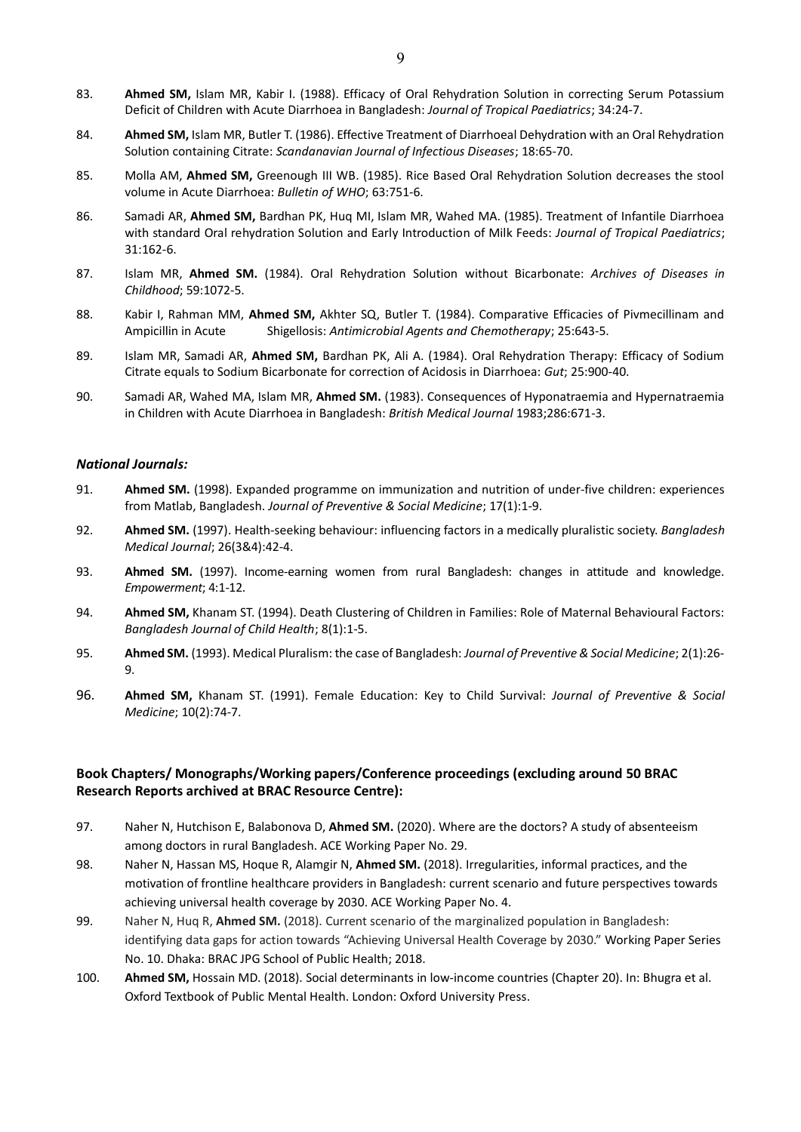- 83. **Ahmed SM,** Islam MR, Kabir I. (1988). Efficacy of Oral Rehydration Solution in correcting Serum Potassium Deficit of Children with Acute Diarrhoea in Bangladesh: *Journal of Tropical Paediatrics*; 34:24-7.
- 84. **Ahmed SM,** Islam MR, Butler T. (1986). Effective Treatment of Diarrhoeal Dehydration with an Oral Rehydration Solution containing Citrate: *Scandanavian Journal of Infectious Diseases*; 18:65-70.
- 85. Molla AM, **Ahmed SM,** Greenough III WB. (1985). Rice Based Oral Rehydration Solution decreases the stool volume in Acute Diarrhoea: *Bulletin of WHO*; 63:751-6.
- 86. Samadi AR, **Ahmed SM,** Bardhan PK, Huq MI, Islam MR, Wahed MA. (1985). Treatment of Infantile Diarrhoea with standard Oral rehydration Solution and Early Introduction of Milk Feeds: *Journal of Tropical Paediatrics*; 31:162-6.
- 87. Islam MR, **Ahmed SM.** (1984). Oral Rehydration Solution without Bicarbonate: *Archives of Diseases in Childhood*; 59:1072-5.
- 88. Kabir I, Rahman MM, **Ahmed SM,** Akhter SQ, Butler T. (1984). Comparative Efficacies of Pivmecillinam and Ampicillin in Acute Shigellosis: *Antimicrobial Agents and Chemotherapy*; 25:643-5.
- 89. Islam MR, Samadi AR, **Ahmed SM,** Bardhan PK, Ali A. (1984). Oral Rehydration Therapy: Efficacy of Sodium Citrate equals to Sodium Bicarbonate for correction of Acidosis in Diarrhoea: *Gut*; 25:900-40.
- 90. Samadi AR, Wahed MA, Islam MR, **Ahmed SM.** (1983). Consequences of Hyponatraemia and Hypernatraemia in Children with Acute Diarrhoea in Bangladesh: *British Medical Journal* 1983;286:671-3.

#### *National Journals:*

- 91. **Ahmed SM.** (1998). Expanded programme on immunization and nutrition of under-five children: experiences from Matlab, Bangladesh. *Journal of Preventive & Social Medicine*; 17(1):1-9.
- 92. **Ahmed SM.** (1997). Health-seeking behaviour: influencing factors in a medically pluralistic society. *Bangladesh Medical Journal*; 26(3&4):42-4.
- 93. **Ahmed SM.** (1997). Income-earning women from rural Bangladesh: changes in attitude and knowledge. *Empowerment*; 4:1-12.
- 94. **Ahmed SM,** Khanam ST. (1994). Death Clustering of Children in Families: Role of Maternal Behavioural Factors: *Bangladesh Journal of Child Health*; 8(1):1-5.
- 95. **Ahmed SM.** (1993). Medical Pluralism: the case of Bangladesh: *Journal of Preventive & Social Medicine*; 2(1):26- 9.
- 96. **Ahmed SM,** Khanam ST. (1991). Female Education: Key to Child Survival: *Journal of Preventive & Social Medicine*; 10(2):74-7.

## **Book Chapters/ Monographs/Working papers/Conference proceedings (excluding around 50 BRAC Research Reports archived at BRAC Resource Centre):**

- 97. Naher N, Hutchison E, Balabonova D, **Ahmed SM.** (2020). Where are the doctors? A study of absenteeism among doctors in rural Bangladesh. ACE Working Paper No. 29.
- 98. Naher N, Hassan MS, Hoque R, Alamgir N, **Ahmed SM.** (2018). Irregularities, informal practices, and the motivation of frontline healthcare providers in Bangladesh: current scenario and future perspectives towards achieving universal health coverage by 2030. ACE Working Paper No. 4.
- 99. Naher N, Huq R, **Ahmed SM.** (2018). Current scenario of the marginalized population in Bangladesh: identifying data gaps for action towards "Achieving Universal Health Coverage by 2030." Working Paper Series No. 10. Dhaka: BRAC JPG School of Public Health; 2018.
- 100. **Ahmed SM,** Hossain MD. (2018). Social determinants in low-income countries (Chapter 20). In: Bhugra et al. Oxford Textbook of Public Mental Health. London: Oxford University Press.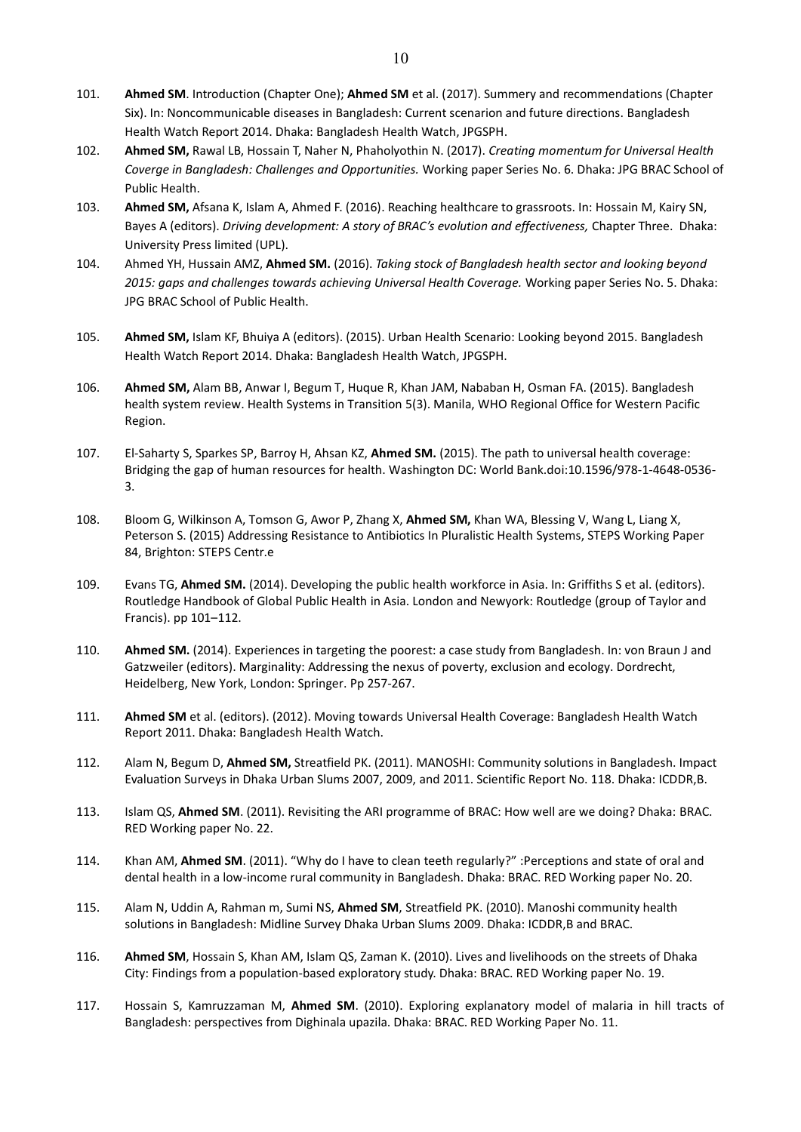- 101. **Ahmed SM**. Introduction (Chapter One); **Ahmed SM** et al. (2017). Summery and recommendations (Chapter Six). In: Noncommunicable diseases in Bangladesh: Current scenarion and future directions. Bangladesh Health Watch Report 2014. Dhaka: Bangladesh Health Watch, JPGSPH.
- 102. **Ahmed SM,** Rawal LB, Hossain T, Naher N, Phaholyothin N. (2017). *Creating momentum for Universal Health Coverge in Bangladesh: Challenges and Opportunities.* Working paper Series No. 6. Dhaka: JPG BRAC School of Public Health.
- 103. **Ahmed SM,** Afsana K, Islam A, Ahmed F. (2016). Reaching healthcare to grassroots. In: Hossain M, Kairy SN, Bayes A (editors). *Driving development: A story of BRAC's evolution and effectiveness,* Chapter Three.Dhaka: University Press limited (UPL).
- 104. Ahmed YH, Hussain AMZ, **Ahmed SM.** (2016). *Taking stock of Bangladesh health sector and looking beyond 2015: gaps and challenges towards achieving Universal Health Coverage.* Working paper Series No. 5. Dhaka: JPG BRAC School of Public Health.
- 105. **Ahmed SM,** Islam KF, Bhuiya A (editors). (2015). Urban Health Scenario: Looking beyond 2015. Bangladesh Health Watch Report 2014. Dhaka: Bangladesh Health Watch, JPGSPH.
- 106. **Ahmed SM,** Alam BB, Anwar I, Begum T, Huque R, Khan JAM, Nababan H, Osman FA. (2015). Bangladesh health system review. Health Systems in Transition 5(3). Manila, WHO Regional Office for Western Pacific Region.
- 107. El-Saharty S, Sparkes SP, Barroy H, Ahsan KZ, **Ahmed SM.** (2015). The path to universal health coverage: Bridging the gap of human resources for health. Washington DC: World Bank.doi:10.1596/978-1-4648-0536- 3.
- 108. Bloom G, Wilkinson A, Tomson G, Awor P, Zhang X, **Ahmed SM,** Khan WA, Blessing V, Wang L, Liang X, Peterson S. (2015) Addressing Resistance to Antibiotics In Pluralistic Health Systems, STEPS Working Paper 84, Brighton: STEPS Centr.e
- 109. Evans TG, **Ahmed SM.** (2014). Developing the public health workforce in Asia. In: Griffiths S et al. (editors). Routledge Handbook of Global Public Health in Asia. London and Newyork: Routledge (group of Taylor and Francis). pp 101–112.
- 110. **Ahmed SM.** (2014). Experiences in targeting the poorest: a case study from Bangladesh. In: von Braun J and Gatzweiler (editors). Marginality: Addressing the nexus of poverty, exclusion and ecology. Dordrecht, Heidelberg, New York, London: Springer. Pp 257-267.
- 111. **Ahmed SM** et al. (editors). (2012). Moving towards Universal Health Coverage: Bangladesh Health Watch Report 2011. Dhaka: Bangladesh Health Watch.
- 112. Alam N, Begum D, **Ahmed SM,** Streatfield PK. (2011). MANOSHI: Community solutions in Bangladesh. Impact Evaluation Surveys in Dhaka Urban Slums 2007, 2009, and 2011. Scientific Report No. 118. Dhaka: ICDDR,B.
- 113. Islam QS, **Ahmed SM**. (2011). Revisiting the ARI programme of BRAC: How well are we doing? Dhaka: BRAC. RED Working paper No. 22.
- 114. Khan AM, **Ahmed SM**. (2011). "Why do I have to clean teeth regularly?" :Perceptions and state of oral and dental health in a low-income rural community in Bangladesh. Dhaka: BRAC. RED Working paper No. 20.
- 115. Alam N, Uddin A, Rahman m, Sumi NS, **Ahmed SM**, Streatfield PK. (2010). Manoshi community health solutions in Bangladesh: Midline Survey Dhaka Urban Slums 2009. Dhaka: ICDDR,B and BRAC.
- 116. **Ahmed SM**, Hossain S, Khan AM, Islam QS, Zaman K. (2010). Lives and livelihoods on the streets of Dhaka City: Findings from a population-based exploratory study. Dhaka: BRAC. RED Working paper No. 19.
- 117. Hossain S, Kamruzzaman M, **Ahmed SM**. (2010). Exploring explanatory model of malaria in hill tracts of Bangladesh: perspectives from Dighinala upazila. Dhaka: BRAC. RED Working Paper No. 11.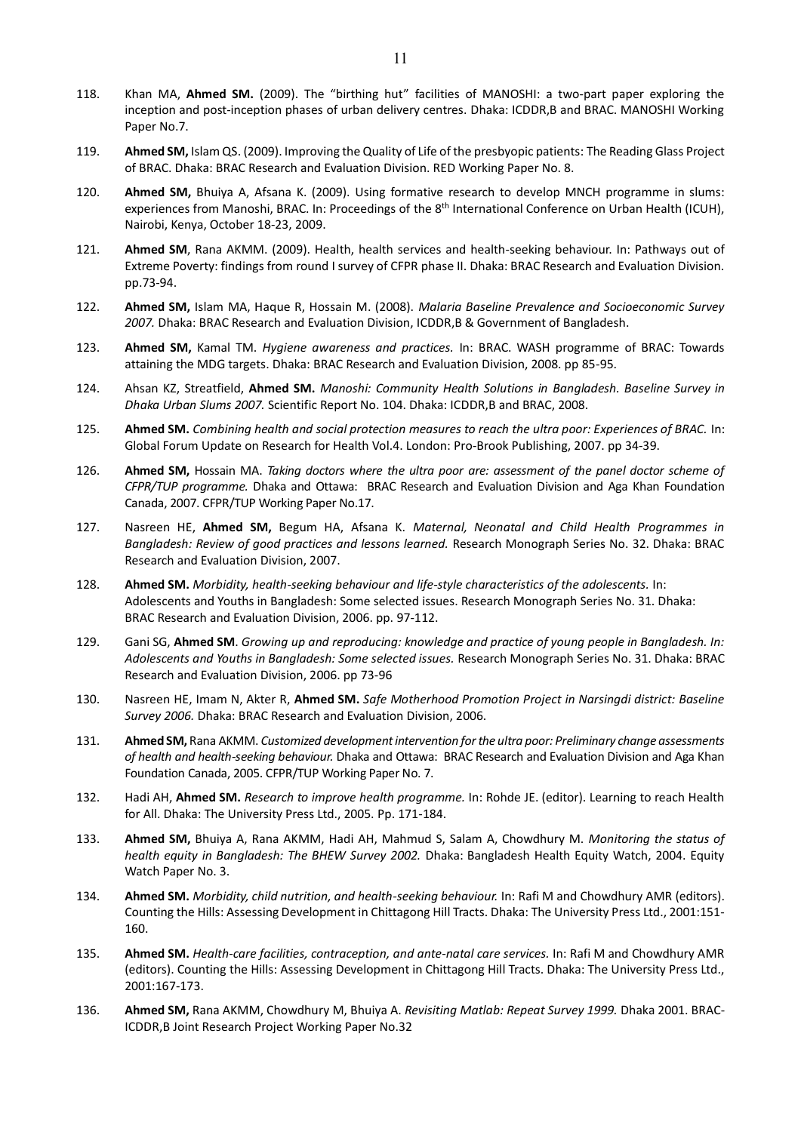- 118. Khan MA, **Ahmed SM.** (2009). The "birthing hut" facilities of MANOSHI: a two-part paper exploring the inception and post-inception phases of urban delivery centres. Dhaka: ICDDR,B and BRAC. MANOSHI Working Paper No.7.
- 119. **Ahmed SM,** Islam QS. (2009). Improving the Quality of Life of the presbyopic patients: The Reading Glass Project of BRAC. Dhaka: BRAC Research and Evaluation Division. RED Working Paper No. 8.
- 120. **Ahmed SM,** Bhuiya A, Afsana K. (2009). Using formative research to develop MNCH programme in slums: experiences from Manoshi, BRAC. In: Proceedings of the 8<sup>th</sup> International Conference on Urban Health (ICUH), Nairobi, Kenya, October 18-23, 2009.
- 121. **Ahmed SM**, Rana AKMM. (2009). Health, health services and health-seeking behaviour. In: Pathways out of Extreme Poverty: findings from round I survey of CFPR phase II. Dhaka: BRAC Research and Evaluation Division. pp.73-94.
- 122. **Ahmed SM,** Islam MA, Haque R, Hossain M. (2008). *Malaria Baseline Prevalence and Socioeconomic Survey 2007.* Dhaka: BRAC Research and Evaluation Division, ICDDR,B & Government of Bangladesh.
- 123. **Ahmed SM,** Kamal TM. *Hygiene awareness and practices.* In: BRAC. WASH programme of BRAC: Towards attaining the MDG targets. Dhaka: BRAC Research and Evaluation Division, 2008. pp 85-95.
- 124. Ahsan KZ, Streatfield, **Ahmed SM.** *Manoshi: Community Health Solutions in Bangladesh. Baseline Survey in Dhaka Urban Slums 2007.* Scientific Report No. 104. Dhaka: ICDDR,B and BRAC, 2008.
- 125. **Ahmed SM.** *Combining health and social protection measures to reach the ultra poor: Experiences of BRAC.* In: Global Forum Update on Research for Health Vol.4. London: Pro-Brook Publishing, 2007. pp 34-39.
- 126. **Ahmed SM,** Hossain MA. *Taking doctors where the ultra poor are: assessment of the panel doctor scheme of CFPR/TUP programme.* Dhaka and Ottawa: BRAC Research and Evaluation Division and Aga Khan Foundation Canada, 2007. CFPR/TUP Working Paper No.17.
- 127. Nasreen HE, **Ahmed SM,** Begum HA, Afsana K. *Maternal, Neonatal and Child Health Programmes in Bangladesh: Review of good practices and lessons learned.* Research Monograph Series No. 32. Dhaka: BRAC Research and Evaluation Division, 2007.
- 128. **Ahmed SM.** *Morbidity, health-seeking behaviour and life-style characteristics of the adolescents.* In: Adolescents and Youths in Bangladesh: Some selected issues. Research Monograph Series No. 31. Dhaka: BRAC Research and Evaluation Division, 2006. pp. 97-112.
- 129. Gani SG, **Ahmed SM**. *Growing up and reproducing: knowledge and practice of young people in Bangladesh. In: Adolescents and Youths in Bangladesh: Some selected issues.* Research Monograph Series No. 31. Dhaka: BRAC Research and Evaluation Division, 2006. pp 73-96
- 130. Nasreen HE, Imam N, Akter R, **Ahmed SM.** *Safe Motherhood Promotion Project in Narsingdi district: Baseline Survey 2006.* Dhaka: BRAC Research and Evaluation Division, 2006.
- 131. **Ahmed SM,** Rana AKMM. *Customized development intervention for the ultra poor: Preliminary change assessments of health and health-seeking behaviour.* Dhaka and Ottawa: BRAC Research and Evaluation Division and Aga Khan Foundation Canada, 2005. CFPR/TUP Working Paper No. 7.
- 132. Hadi AH, **Ahmed SM.** *Research to improve health programme.* In: Rohde JE. (editor). Learning to reach Health for All. Dhaka: The University Press Ltd., 2005. Pp. 171-184.
- 133. **Ahmed SM,** Bhuiya A, Rana AKMM, Hadi AH, Mahmud S, Salam A, Chowdhury M. *Monitoring the status of health equity in Bangladesh: The BHEW Survey 2002.* Dhaka: Bangladesh Health Equity Watch, 2004. Equity Watch Paper No. 3.
- 134. **Ahmed SM.** *Morbidity, child nutrition, and health-seeking behaviour.* In: Rafi M and Chowdhury AMR (editors). Counting the Hills: Assessing Development in Chittagong Hill Tracts. Dhaka: The University Press Ltd., 2001:151- 160.
- 135. **Ahmed SM.** *Health-care facilities, contraception, and ante-natal care services.* In: Rafi M and Chowdhury AMR (editors). Counting the Hills: Assessing Development in Chittagong Hill Tracts. Dhaka: The University Press Ltd., 2001:167-173.
- 136. **Ahmed SM,** Rana AKMM, Chowdhury M, Bhuiya A. *Revisiting Matlab: Repeat Survey 1999.* Dhaka 2001. BRAC-ICDDR,B Joint Research Project Working Paper No.32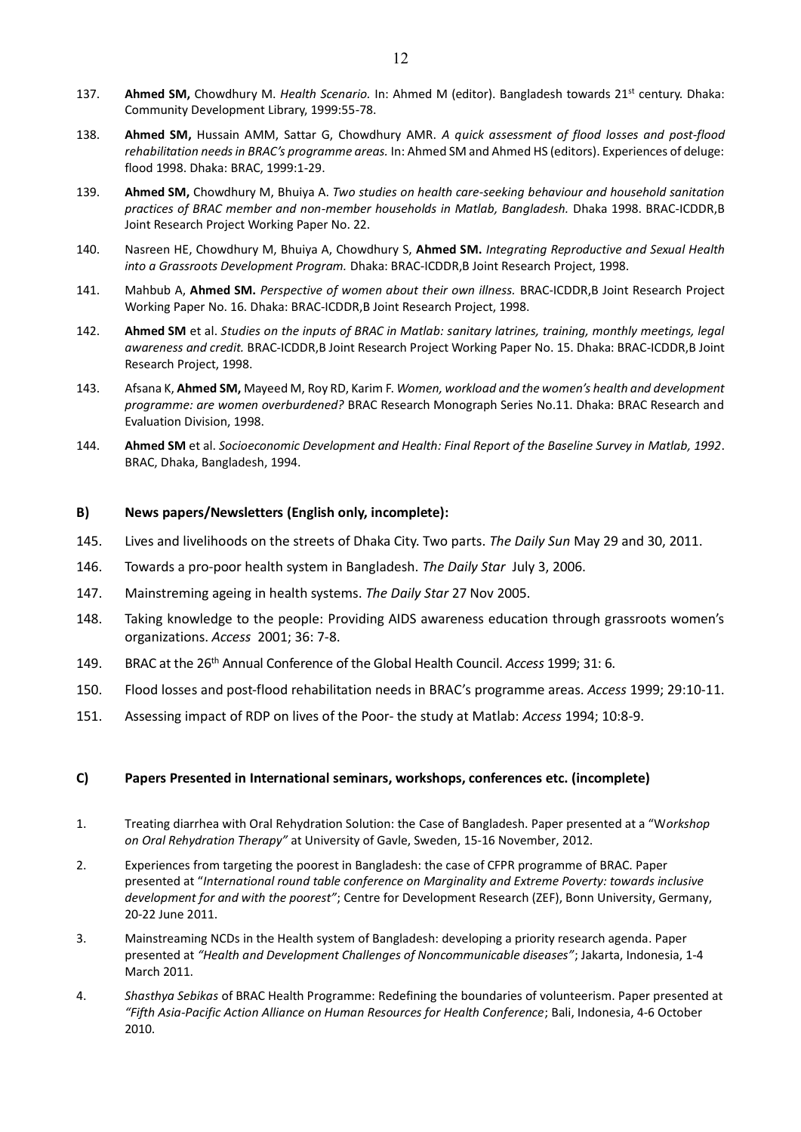- 137. **Ahmed SM,** Chowdhury M. *Health Scenario.* In: Ahmed M (editor). Bangladesh towards 21st century. Dhaka: Community Development Library, 1999:55-78.
- 138. **Ahmed SM,** Hussain AMM, Sattar G, Chowdhury AMR. *A quick assessment of flood losses and post-flood rehabilitation needs in BRAC's programme areas.* In: Ahmed SM and Ahmed HS (editors). Experiences of deluge: flood 1998. Dhaka: BRAC, 1999:1-29.
- 139. **Ahmed SM,** Chowdhury M, Bhuiya A. *Two studies on health care-seeking behaviour and household sanitation practices of BRAC member and non-member households in Matlab, Bangladesh.* Dhaka 1998. BRAC-ICDDR,B Joint Research Project Working Paper No. 22.
- 140. Nasreen HE, Chowdhury M, Bhuiya A, Chowdhury S, **Ahmed SM.** *Integrating Reproductive and Sexual Health into a Grassroots Development Program.* Dhaka: BRAC-ICDDR,B Joint Research Project, 1998.
- 141. Mahbub A, **Ahmed SM.** *Perspective of women about their own illness.* BRAC-ICDDR,B Joint Research Project Working Paper No. 16. Dhaka: BRAC-ICDDR,B Joint Research Project, 1998.
- 142. **Ahmed SM** et al. *Studies on the inputs of BRAC in Matlab: sanitary latrines, training, monthly meetings, legal awareness and credit.* BRAC-ICDDR,B Joint Research Project Working Paper No. 15. Dhaka: BRAC-ICDDR,B Joint Research Project, 1998.
- 143. Afsana K, **Ahmed SM,** Mayeed M, Roy RD, Karim F. *Women, workload and the women's health and development programme: are women overburdened?* BRAC Research Monograph Series No.11. Dhaka: BRAC Research and Evaluation Division, 1998.
- 144. **Ahmed SM** et al. *Socioeconomic Development and Health: Final Report of the Baseline Survey in Matlab, 1992*. BRAC, Dhaka, Bangladesh, 1994.

#### **B) News papers/Newsletters (English only, incomplete):**

- 145. Lives and livelihoods on the streets of Dhaka City. Two parts. *The Daily Sun* May 29 and 30, 2011.
- 146. Towards a pro-poor health system in Bangladesh. *The Daily Star* July 3, 2006.
- 147. Mainstreming ageing in health systems. *The Daily Star* 27 Nov 2005.
- 148. Taking knowledge to the people: Providing AIDS awareness education through grassroots women's organizations. *Access* 2001; 36: 7-8.
- 149. BRAC at the 26th Annual Conference of the Global Health Council. *Access* 1999; 31: 6.
- 150. Flood losses and post-flood rehabilitation needs in BRAC's programme areas. *Access* 1999; 29:10-11.
- 151. Assessing impact of RDP on lives of the Poor- the study at Matlab: *Access* 1994; 10:8-9.

#### **C) Papers Presented in International seminars, workshops, conferences etc. (incomplete)**

- 1. Treating diarrhea with Oral Rehydration Solution: the Case of Bangladesh. Paper presented at a "W*orkshop on Oral Rehydration Therapy"* at University of Gavle, Sweden, 15-16 November, 2012.
- 2. Experiences from targeting the poorest in Bangladesh: the case of CFPR programme of BRAC. Paper presented at "*International round table conference on Marginality and Extreme Poverty: towards inclusive development for and with the poorest"*; Centre for Development Research (ZEF), Bonn University, Germany, 20-22 June 2011.
- 3. Mainstreaming NCDs in the Health system of Bangladesh: developing a priority research agenda. Paper presented at *"Health and Development Challenges of Noncommunicable diseases"*; Jakarta, Indonesia, 1-4 March 2011.
- 4. *Shasthya Sebikas* of BRAC Health Programme: Redefining the boundaries of volunteerism. Paper presented at *"Fifth Asia-Pacific Action Alliance on Human Resources for Health Conference*; Bali, Indonesia, 4-6 October 2010.